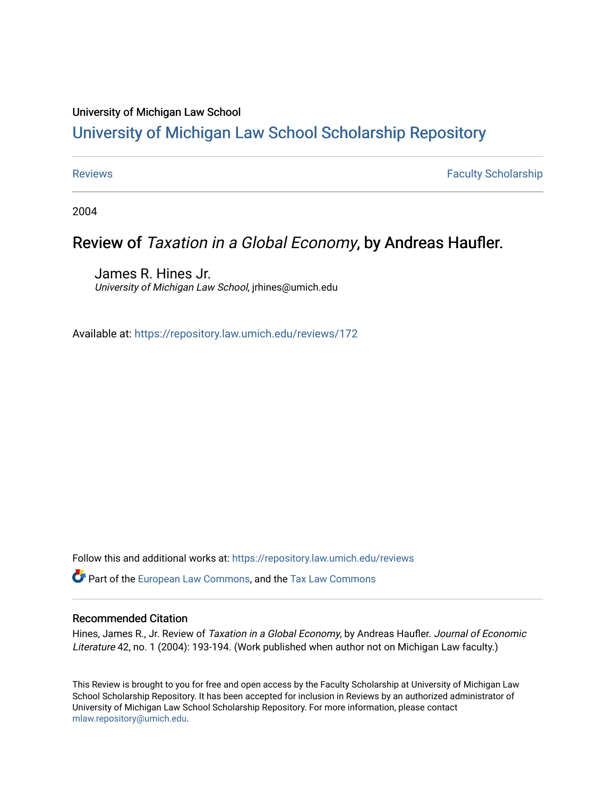### University of Michigan Law School

# [University of Michigan Law School Scholarship Repository](https://repository.law.umich.edu/)

[Reviews](https://repository.law.umich.edu/reviews) **Faculty Scholarship Faculty Scholarship Faculty Scholarship** 

2004

## Review of Taxation in a Global Economy, by Andreas Haufler.

James R. Hines Jr. University of Michigan Law School, jrhines@umich.edu

Available at: <https://repository.law.umich.edu/reviews/172>

Follow this and additional works at: [https://repository.law.umich.edu/reviews](https://repository.law.umich.edu/reviews?utm_source=repository.law.umich.edu%2Freviews%2F172&utm_medium=PDF&utm_campaign=PDFCoverPages) 

Part of the [European Law Commons,](https://network.bepress.com/hgg/discipline/1084?utm_source=repository.law.umich.edu%2Freviews%2F172&utm_medium=PDF&utm_campaign=PDFCoverPages) and the [Tax Law Commons](https://network.bepress.com/hgg/discipline/898?utm_source=repository.law.umich.edu%2Freviews%2F172&utm_medium=PDF&utm_campaign=PDFCoverPages) 

### Recommended Citation

Hines, James R., Jr. Review of Taxation in a Global Economy, by Andreas Haufler. Journal of Economic Literature 42, no. 1 (2004): 193-194. (Work published when author not on Michigan Law faculty.)

This Review is brought to you for free and open access by the Faculty Scholarship at University of Michigan Law School Scholarship Repository. It has been accepted for inclusion in Reviews by an authorized administrator of University of Michigan Law School Scholarship Repository. For more information, please contact [mlaw.repository@umich.edu.](mailto:mlaw.repository@umich.edu)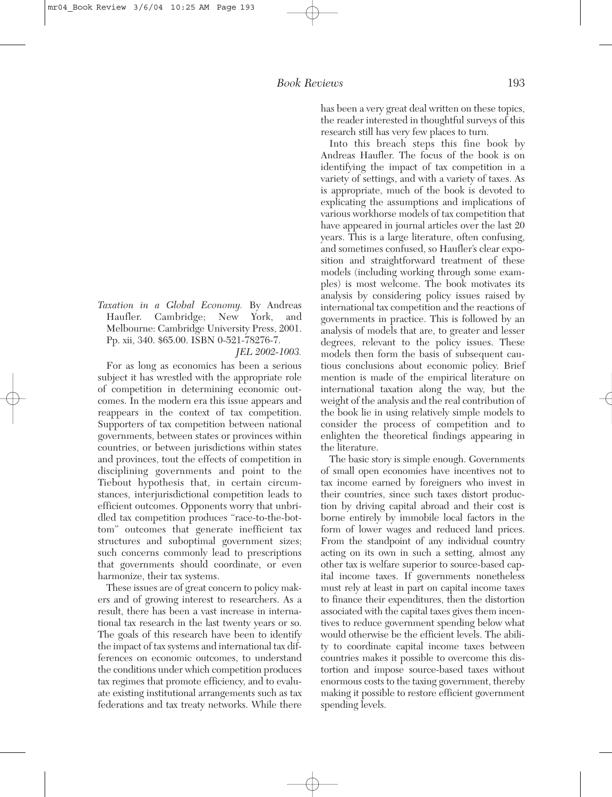*Taxation in a Global Economy.* By Andreas Haufler. Cambridge; New York, and Melbourne: Cambridge University Press, 2001. Pp. xii, 340. \$65.00. ISBN 0-521-78276-7.

*JEL 2002-1003.*

For as long as economics has been a serious subject it has wrestled with the appropriate role of competition in determining economic outcomes. In the modern era this issue appears and reappears in the context of tax competition. Supporters of tax competition between national governments, between states or provinces within countries, or between jurisdictions within states and provinces, tout the effects of competition in disciplining governments and point to the Tiebout hypothesis that, in certain circumstances, interjurisdictional competition leads to efficient outcomes. Opponents worry that unbridled tax competition produces "race-to-the-bottom" outcomes that generate inefficient tax structures and suboptimal government sizes; such concerns commonly lead to prescriptions that governments should coordinate, or even harmonize, their tax systems.

These issues are of great concern to policy makers and of growing interest to researchers. As a result, there has been a vast increase in international tax research in the last twenty years or so. The goals of this research have been to identify the impact of tax systems and international tax differences on economic outcomes, to understand the conditions under which competition produces tax regimes that promote efficiency, and to evaluate existing institutional arrangements such as tax federations and tax treaty networks. While there

has been a very great deal written on these topics, the reader interested in thoughtful surveys of this research still has very few places to turn.

Into this breach steps this fine book by Andreas Haufler. The focus of the book is on identifying the impact of tax competition in a variety of settings, and with a variety of taxes. As is appropriate, much of the book is devoted to explicating the assumptions and implications of various workhorse models of tax competition that have appeared in journal articles over the last 20 years. This is a large literature, often confusing, and sometimes confused, so Haufler's clear exposition and straightforward treatment of these models (including working through some examples) is most welcome. The book motivates its analysis by considering policy issues raised by international tax competition and the reactions of governments in practice. This is followed by an analysis of models that are, to greater and lesser degrees, relevant to the policy issues. These models then form the basis of subsequent cautious conclusions about economic policy. Brief mention is made of the empirical literature on international taxation along the way, but the weight of the analysis and the real contribution of the book lie in using relatively simple models to consider the process of competition and to enlighten the theoretical findings appearing in the literature.

The basic story is simple enough. Governments of small open economies have incentives not to tax income earned by foreigners who invest in their countries, since such taxes distort production by driving capital abroad and their cost is borne entirely by immobile local factors in the form of lower wages and reduced land prices. From the standpoint of any individual country acting on its own in such a setting, almost any other tax is welfare superior to source-based capital income taxes. If governments nonetheless must rely at least in part on capital income taxes to finance their expenditures, then the distortion associated with the capital taxes gives them incentives to reduce government spending below what would otherwise be the efficient levels. The ability to coordinate capital income taxes between countries makes it possible to overcome this distortion and impose source-based taxes without enormous costs to the taxing government, thereby making it possible to restore efficient government spending levels.